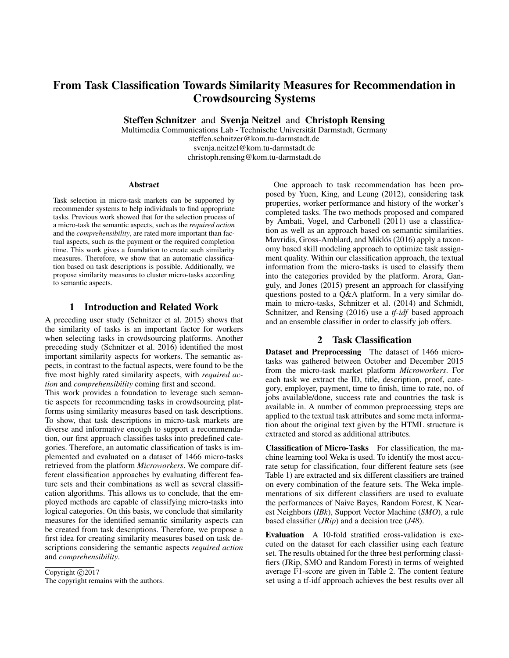# From Task Classification Towards Similarity Measures for Recommendation in Crowdsourcing Systems

Steffen Schnitzer and Svenja Neitzel and Christoph Rensing

Multimedia Communications Lab - Technische Universitat Darmstadt, Germany ¨ steffen.schnitzer@kom.tu-darmstadt.de svenja.neitzel@kom.tu-darmstadt.de christoph.rensing@kom.tu-darmstadt.de

#### Abstract

Task selection in micro-task markets can be supported by recommender systems to help individuals to find appropriate tasks. Previous work showed that for the selection process of a micro-task the semantic aspects, such as the *required action* and the *comprehensibility*, are rated more important than factual aspects, such as the payment or the required completion time. This work gives a foundation to create such similarity measures. Therefore, we show that an automatic classification based on task descriptions is possible. Additionally, we propose similarity measures to cluster micro-tasks according to semantic aspects.

## 1 Introduction and Related Work

A preceding user study (Schnitzer et al. 2015) shows that the similarity of tasks is an important factor for workers when selecting tasks in crowdsourcing platforms. Another preceding study (Schnitzer et al. 2016) identified the most important similarity aspects for workers. The semantic aspects, in contrast to the factual aspects, were found to be the five most highly rated similarity aspects, with *required action* and *comprehensibility* coming first and second.

This work provides a foundation to leverage such semantic aspects for recommending tasks in crowdsourcing platforms using similarity measures based on task descriptions. To show, that task descriptions in micro-task markets are diverse and informative enough to support a recommendation, our first approach classifies tasks into predefined categories. Therefore, an automatic classification of tasks is implemented and evaluated on a dataset of 1466 micro-tasks retrieved from the platform *Microworkers*. We compare different classification approaches by evaluating different feature sets and their combinations as well as several classification algorithms. This allows us to conclude, that the employed methods are capable of classifying micro-tasks into logical categories. On this basis, we conclude that similarity measures for the identified semantic similarity aspects can be created from task descriptions. Therefore, we propose a first idea for creating similarity measures based on task descriptions considering the semantic aspects *required action* and *comprehensibility*.

Copyright  $\odot$  2017 The copyright remains with the authors.

One approach to task recommendation has been proposed by Yuen, King, and Leung (2012), considering task properties, worker performance and history of the worker's completed tasks. The two methods proposed and compared by Ambati, Vogel, and Carbonell (2011) use a classification as well as an approach based on semantic similarities. Mavridis, Gross-Amblard, and Miklós (2016) apply a taxonomy based skill modeling approach to optimize task assignment quality. Within our classification approach, the textual information from the micro-tasks is used to classify them into the categories provided by the platform. Arora, Ganguly, and Jones (2015) present an approach for classifying questions posted to a Q&A platform. In a very similar domain to micro-tasks, Schnitzer et al. (2014) and Schmidt, Schnitzer, and Rensing (2016) use a *tf-idf* based approach and an ensemble classifier in order to classify job offers.

#### 2 Task Classification

Dataset and Preprocessing The dataset of 1466 microtasks was gathered between October and December 2015 from the micro-task market platform *Microworkers*. For each task we extract the ID, title, description, proof, category, employer, payment, time to finish, time to rate, no. of jobs available/done, success rate and countries the task is available in. A number of common preprocessing steps are applied to the textual task attributes and some meta information about the original text given by the HTML structure is extracted and stored as additional attributes.

Classification of Micro-Tasks For classification, the machine learning tool Weka is used. To identify the most accurate setup for classification, four different feature sets (see Table 1) are extracted and six different classifiers are trained on every combination of the feature sets. The Weka implementations of six different classifiers are used to evaluate the performances of Naive Bayes, Random Forest, K Nearest Neighbors (*IBk*), Support Vector Machine (*SMO*), a rule based classifier (*JRip*) and a decision tree (*J48*).

Evaluation A 10-fold stratified cross-validation is executed on the dataset for each classifier using each feature set. The results obtained for the three best performing classifiers (JRip, SMO and Random Forest) in terms of weighted average F1-score are given in Table 2. The content feature set using a tf-idf approach achieves the best results over all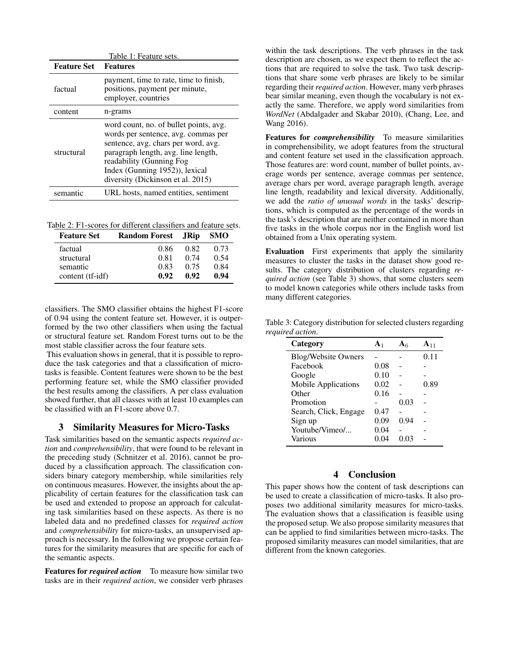|                    | Table 1: Feature sets.                                                                                                                                                                                                                                         |
|--------------------|----------------------------------------------------------------------------------------------------------------------------------------------------------------------------------------------------------------------------------------------------------------|
| <b>Feature Set</b> | <b>Features</b>                                                                                                                                                                                                                                                |
| factual            | payment, time to rate, time to finish,<br>positions, payment per minute,<br>employer, countries                                                                                                                                                                |
| content            | n-grams                                                                                                                                                                                                                                                        |
| structural         | word count, no. of bullet points, avg.<br>words per sentence, avg. commas per<br>sentence, avg. chars per word, avg.<br>paragraph length, avg. line length,<br>readability (Gunning Fog<br>Index (Gunning 1952)), lexical<br>diversity (Dickinson et al. 2015) |
| semantic           | URL hosts, named entities, sentiment                                                                                                                                                                                                                           |

Table 2: F1-scores for different classifiers and feature sets.

| <b>Feature Set</b> | <b>Random Forest</b> JRip |      | <b>SMO</b> |
|--------------------|---------------------------|------|------------|
| factual            | 0.86                      | 0.82 | 0.73       |
| structural         | 0.81                      | 0.74 | 0.54       |
| semantic           | 0.83                      | 0.75 | 0.84       |
| content (tf-idf)   | 0.92                      | 0.92 | 0.94       |

classifiers. The SMO classifier obtains the highest F1-score of 0.94 using the content feature set. However, it is outperformed by the two other classifiers when using the factual or structural feature set. Random Forest turns out to be the most stable classifier across the four feature sets.

This evaluation shows in general, that it is possible to reproduce the task categories and that a classification of microtasks is feasible. Content features were shown to be the best performing feature set, while the SMO classifier provided the best results among the classifiers. A per class evaluation showed further, that all classes with at least 10 examples can be classified with an F1-score above 0.7.

#### 3 Similarity Measures for Micro-Tasks

Task similarities based on the semantic aspects *required action* and *comprehensibility*, that were found to be relevant in the preceding study (Schnitzer et al. 2016), cannot be produced by a classification approach. The classification considers binary category membership, while similarities rely on continuous measures. However, the insights about the applicability of certain features for the classification task can be used and extended to propose an approach for calculating task similarities based on these aspects. As there is no labeled data and no predefined classes for *required action* and *comprehensibility* for micro-tasks, an unsupervised approach is necessary. In the following we propose certain features for the similarity measures that are specific for each of the semantic aspects.

Features for *required action* To measure how similar two tasks are in their *required action*, we consider verb phrases

within the task descriptions. The verb phrases in the task description are chosen, as we expect them to reflect the actions that are required to solve the task. Two task descriptions that share some verb phrases are likely to be similar regarding their *required action*. However, many verb phrases bear similar meaning, even though the vocabulary is not exactly the same. Therefore, we apply word similarities from *WordNet* (Abdalgader and Skabar 2010), (Chang, Lee, and Wang 2016).

Features for *comprehensibility* To measure similarities in comprehensibility, we adopt features from the structural and content feature set used in the classification approach. Those features are: word count, number of bullet points, average words per sentence, average commas per sentence, average chars per word, average paragraph length, average line length, readability and lexical diversity. Additionally, we add the *ratio of unusual words* in the tasks' descriptions, which is computed as the percentage of the words in the task's description that are neither contained in more than five tasks in the whole corpus nor in the English word list obtained from a Unix operating system.

Evaluation First experiments that apply the similarity measures to cluster the tasks in the dataset show good results. The category distribution of clusters regarding *required action* (see Table 3) shows, that some clusters seem to model known categories while others include tasks from many different categories.

| Category                   | A <sub>1</sub> |      | $A_{11}$ |
|----------------------------|----------------|------|----------|
| <b>Blog/Website Owners</b> |                |      | 0.11     |
| Facebook                   | 0.08           |      |          |
| Google                     | 0.10           |      |          |
| Mobile Applications        | 0.02           |      | 0.89     |
| Other                      | 0.16           |      |          |
| Promotion                  |                | 0.03 |          |
| Search, Click, Engage      | 0.47           |      |          |
| Sign up                    | 0.09           | 0.94 |          |
| Youtube/Vimeo/             | 0.04           |      |          |
| Various                    | 0.04           |      |          |

#### Table 3: Category distribution for selected clusters regarding *required action*.

# 4 Conclusion

This paper shows how the content of task descriptions can be used to create a classification of micro-tasks. It also proposes two additional similarity measures for micro-tasks. The evaluation shows that a classification is feasible using the proposed setup. We also propose similarity measures that can be applied to find similarities between micro-tasks. The proposed similarity measures can model similarities, that are different from the known categories.